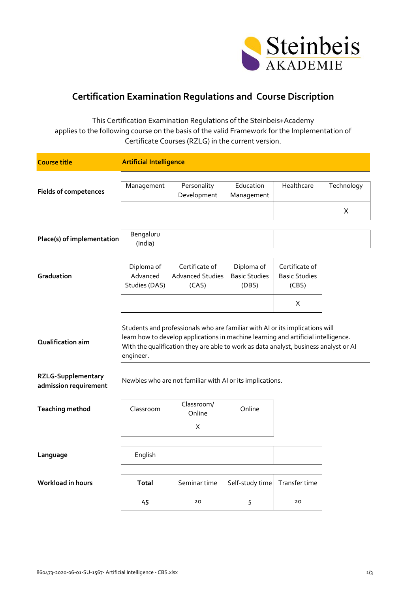

## **Certification Examination Regulations and Course Discription**

This Certification Examination Regulations of the Steinbeis+Academy applies to the following course on the basis of the valid Framework for the Implementation of Certificate Courses (RZLG) in the current version.

| <b>Course title</b>                                | <b>Artificial Intelligence</b>                                                                                                                                                                                                                                          |                                                           |                                             |                                                 |            |  |
|----------------------------------------------------|-------------------------------------------------------------------------------------------------------------------------------------------------------------------------------------------------------------------------------------------------------------------------|-----------------------------------------------------------|---------------------------------------------|-------------------------------------------------|------------|--|
|                                                    |                                                                                                                                                                                                                                                                         |                                                           |                                             |                                                 |            |  |
| <b>Fields of competences</b>                       | Management                                                                                                                                                                                                                                                              | Personality<br>Development                                | Education<br>Management                     | Healthcare                                      | Technology |  |
|                                                    |                                                                                                                                                                                                                                                                         |                                                           |                                             |                                                 | X          |  |
|                                                    |                                                                                                                                                                                                                                                                         |                                                           |                                             |                                                 |            |  |
| Place(s) of implementation                         | Bengaluru<br>(India)                                                                                                                                                                                                                                                    |                                                           |                                             |                                                 |            |  |
|                                                    |                                                                                                                                                                                                                                                                         |                                                           |                                             |                                                 |            |  |
| Graduation                                         | Diploma of<br>Advanced<br>Studies (DAS)                                                                                                                                                                                                                                 | Certificate of<br><b>Advanced Studies</b><br>(CAS)        | Diploma of<br><b>Basic Studies</b><br>(DBS) | Certificate of<br><b>Basic Studies</b><br>(CBS) |            |  |
|                                                    |                                                                                                                                                                                                                                                                         |                                                           |                                             | Χ                                               |            |  |
| Qualification aim                                  | Students and professionals who are familiar with AI or its implications will<br>learn how to develop applications in machine learning and artificial intelligence.<br>With the qualification they are able to work as data analyst, business analyst or Al<br>engineer. |                                                           |                                             |                                                 |            |  |
| <b>RZLG-Supplementary</b><br>admission requirement |                                                                                                                                                                                                                                                                         | Newbies who are not familiar with AI or its implications. |                                             |                                                 |            |  |
| <b>Teaching method</b>                             | Classroom                                                                                                                                                                                                                                                               | Classroom/<br>Online                                      | Online                                      |                                                 |            |  |
|                                                    |                                                                                                                                                                                                                                                                         | X                                                         |                                             |                                                 |            |  |
|                                                    |                                                                                                                                                                                                                                                                         |                                                           |                                             |                                                 |            |  |
| Language                                           | English                                                                                                                                                                                                                                                                 |                                                           |                                             |                                                 |            |  |
| Workload in hours                                  | <b>Total</b>                                                                                                                                                                                                                                                            | Seminar time                                              | Self-study time                             | Transfer time                                   |            |  |
|                                                    | 45                                                                                                                                                                                                                                                                      | 20                                                        | 5                                           | 20                                              |            |  |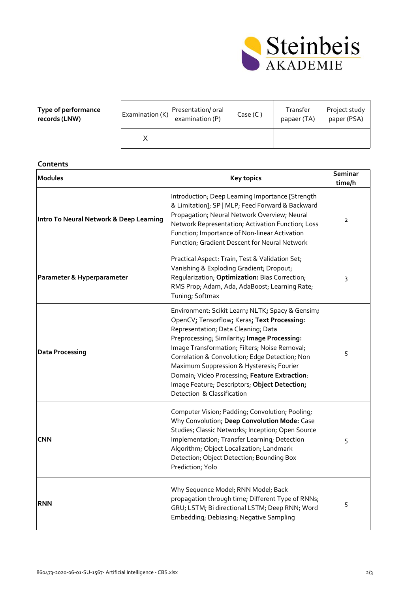

| Type of performance<br>records (LNW) | Examination (K) | Presentation/oral<br>examination (P) | Case (C) | Transfer<br>papaer (TA) | Project study<br>paper (PSA) |
|--------------------------------------|-----------------|--------------------------------------|----------|-------------------------|------------------------------|
|                                      |                 |                                      |          |                         |                              |

## **Contents**

| <b>Modules</b>                          | <b>Key topics</b>                                                                                                                                                                                                                                                                                                                                                                                                                                                      | Seminar<br>time/h |
|-----------------------------------------|------------------------------------------------------------------------------------------------------------------------------------------------------------------------------------------------------------------------------------------------------------------------------------------------------------------------------------------------------------------------------------------------------------------------------------------------------------------------|-------------------|
| Intro To Neural Network & Deep Learning | Introduction; Deep Learning Importance [Strength<br>& Limitation]; SP   MLP; Feed Forward & Backward<br>Propagation; Neural Network Overview; Neural<br>Network Representation; Activation Function; Loss<br>Function; Importance of Non-linear Activation<br>Function; Gradient Descent for Neural Network                                                                                                                                                            | $\overline{2}$    |
| Parameter & Hyperparameter              | Practical Aspect: Train, Test & Validation Set;<br>Vanishing & Exploding Gradient; Dropout;<br>Regularization; Optimization: Bias Correction;<br>RMS Prop; Adam, Ada, AdaBoost; Learning Rate;<br>Tuning; Softmax                                                                                                                                                                                                                                                      | 3                 |
| <b>Data Processing</b>                  | Environment: Scikit Learn; NLTK; Spacy & Gensim;<br>OpenCV; Tensorflow; Keras; Text Processing:<br>Representation; Data Cleaning; Data<br>Preprocessing; Similarity; Image Processing:<br>Image Transformation; Filters; Noise Removal;<br>Correlation & Convolution; Edge Detection; Non<br>Maximum Suppression & Hysteresis; Fourier<br>Domain; Video Processing; Feature Extraction:<br>Image Feature; Descriptors; Object Detection;<br>Detection & Classification | 5                 |
| <b>CNN</b>                              | Computer Vision; Padding; Convolution; Pooling;<br>Why Convolution; Deep Convolution Mode: Case<br>Studies; Classic Networks; Inception; Open Source<br>Implementation; Transfer Learning; Detection<br>Algorithm; Object Localization; Landmark<br>Detection; Object Detection; Bounding Box<br>Prediction; Yolo                                                                                                                                                      | 5                 |
| <b>RNN</b>                              | Why Sequence Model; RNN Model; Back<br>propagation through time; Different Type of RNNs;<br>GRU; LSTM; Bi directional LSTM; Deep RNN; Word<br>Embedding; Debiasing; Negative Sampling                                                                                                                                                                                                                                                                                  | 5                 |